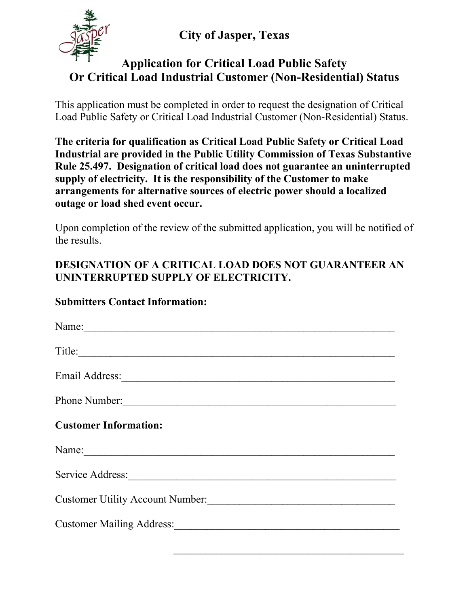**City of Jasper, Texas**



## **Application for Critical Load Public Safety Or Critical Load Industrial Customer (Non-Residential) Status**

This application must be completed in order to request the designation of Critical Load Public Safety or Critical Load Industrial Customer (Non-Residential) Status.

**The criteria for qualification as Critical Load Public Safety or Critical Load Industrial are provided in the Public Utility Commission of Texas Substantive Rule 25.497. Designation of critical load does not guarantee an uninterrupted supply of electricity. It is the responsibility of the Customer to make arrangements for alternative sources of electric power should a localized outage or load shed event occur.**

Upon completion of the review of the submitted application, you will be notified of the results.

## **DESIGNATION OF A CRITICAL LOAD DOES NOT GUARANTEER AN UNINTERRUPTED SUPPLY OF ELECTRICITY.**

## **Submitters Contact Information:**

| Name:                            |
|----------------------------------|
| Title:                           |
| Email Address: 1988              |
| Phone Number:                    |
| <b>Customer Information:</b>     |
| Name:                            |
| Service Address:                 |
| Customer Utility Account Number: |
| Customer Mailing Address:        |
|                                  |

 $\overline{\phantom{a}}$  ,  $\overline{\phantom{a}}$  ,  $\overline{\phantom{a}}$  ,  $\overline{\phantom{a}}$  ,  $\overline{\phantom{a}}$  ,  $\overline{\phantom{a}}$  ,  $\overline{\phantom{a}}$  ,  $\overline{\phantom{a}}$  ,  $\overline{\phantom{a}}$  ,  $\overline{\phantom{a}}$  ,  $\overline{\phantom{a}}$  ,  $\overline{\phantom{a}}$  ,  $\overline{\phantom{a}}$  ,  $\overline{\phantom{a}}$  ,  $\overline{\phantom{a}}$  ,  $\overline{\phantom{a}}$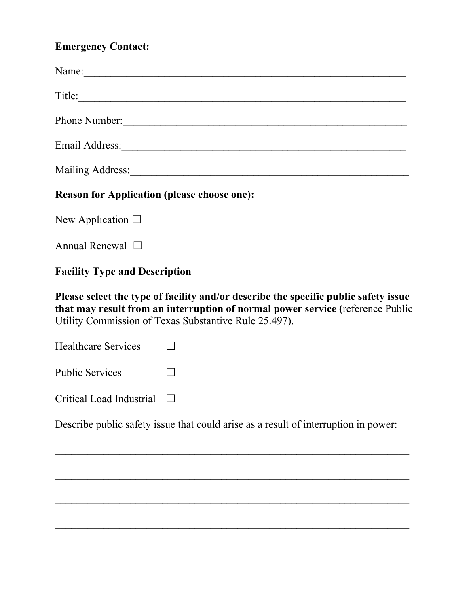## **Emergency Contact:**

| Name: 2008. [2016] The Contract of the Contract of the Contract of the Contract of the Contract of the Contract of the Contract of the Contract of the Contract of the Contract of the Contract of the Contract of the Contrac |
|--------------------------------------------------------------------------------------------------------------------------------------------------------------------------------------------------------------------------------|
| Title:                                                                                                                                                                                                                         |
| Phone Number:                                                                                                                                                                                                                  |
|                                                                                                                                                                                                                                |
| Mailing Address: Mailing Address: Mailing Address: Mailing Address: Mailing Address: Mailing Address: Mailing Address: Mailing Address: Mailing Address: Mailing Address: Mailing Address: Mailing Address: Mailing Address: M |
| <b>Reason for Application (please choose one):</b>                                                                                                                                                                             |
| New Application $\Box$                                                                                                                                                                                                         |
| Annual Renewal $\Box$                                                                                                                                                                                                          |
| <b>Facility Type and Description</b>                                                                                                                                                                                           |
| Please select the type of facility and/or describe the specific public safety issue<br>that may result from an interruption of normal power service (reference Public<br>Utility Commission of Texas Substantive Rule 25.497). |
| <b>Healthcare Services</b>                                                                                                                                                                                                     |
| <b>Public Services</b>                                                                                                                                                                                                         |

Critical Load Industrial □

Describe public safety issue that could arise as a result of interruption in power:

 $\mathcal{L}_\text{max}$  , and the contract of the contract of the contract of the contract of the contract of the contract of the contract of the contract of the contract of the contract of the contract of the contract of the contr

 $\mathcal{L}_\text{max}$  , and the contract of the contract of the contract of the contract of the contract of the contract of the contract of the contract of the contract of the contract of the contract of the contract of the contr

 $\mathcal{L}_\text{max}$  , and the contract of the contract of the contract of the contract of the contract of the contract of the contract of the contract of the contract of the contract of the contract of the contract of the contr

 $\mathcal{L}_\text{max}$  , and the contract of the contract of the contract of the contract of the contract of the contract of the contract of the contract of the contract of the contract of the contract of the contract of the contr